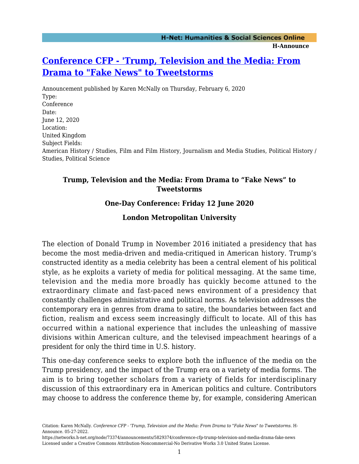# **[Conference CFP - 'Trump, Television and the Media: From](https://networks.h-net.org/node/73374/announcements/5829374/conference-cfp-trump-television-and-media-drama-fake-news) [Drama to "Fake News" to Tweetstorms](https://networks.h-net.org/node/73374/announcements/5829374/conference-cfp-trump-television-and-media-drama-fake-news)**

Announcement published by Karen McNally on Thursday, February 6, 2020 Type: Conference Date: June 12, 2020 Location: United Kingdom Subject Fields: American History / Studies, Film and Film History, Journalism and Media Studies, Political History / Studies, Political Science

#### **Trump, Television and the Media: From Drama to "Fake News" to Tweetstorms**

## **One-Day Conference: Friday 12 June 2020**

# **London Metropolitan University**

The election of Donald Trump in November 2016 initiated a presidency that has become the most media-driven and media-critiqued in American history. Trump's constructed identity as a media celebrity has been a central element of his political style, as he exploits a variety of media for political messaging. At the same time, television and the media more broadly has quickly become attuned to the extraordinary climate and fast-paced news environment of a presidency that constantly challenges administrative and political norms. As television addresses the contemporary era in genres from drama to satire, the boundaries between fact and fiction, realism and excess seem increasingly difficult to locate. All of this has occurred within a national experience that includes the unleashing of massive divisions within American culture, and the televised impeachment hearings of a president for only the third time in U.S. history.

This one-day conference seeks to explore both the influence of the media on the Trump presidency, and the impact of the Trump era on a variety of media forms. The aim is to bring together scholars from a variety of fields for interdisciplinary discussion of this extraordinary era in American politics and culture. Contributors may choose to address the conference theme by, for example, considering American

Citation: Karen McNally. *Conference CFP - 'Trump, Television and the Media: From Drama to "Fake News" to Tweetstorms*. H-Announce. 05-27-2022.

https://networks.h-net.org/node/73374/announcements/5829374/conference-cfp-trump-television-and-media-drama-fake-news Licensed under a Creative Commons Attribution-Noncommercial-No Derivative Works 3.0 United States License.